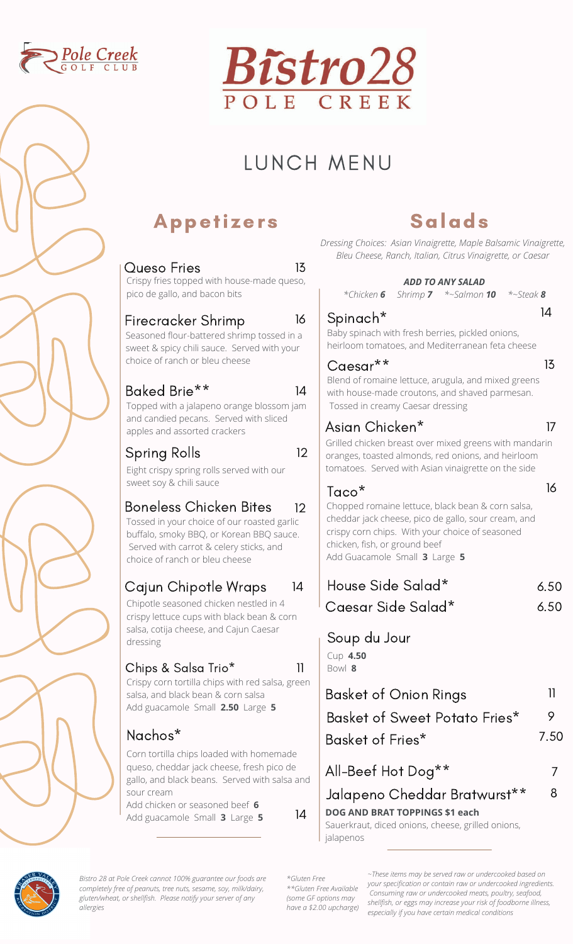



# LUNCH MENU

### Appetizers

| 13<br>Queso Fries                                                                                                                                                                                                               | <b>Bleu Chee</b>                                                                             |
|---------------------------------------------------------------------------------------------------------------------------------------------------------------------------------------------------------------------------------|----------------------------------------------------------------------------------------------|
| Crispy fries topped with house-made queso,<br>pico de gallo, and bacon bits                                                                                                                                                     | *Chicke                                                                                      |
| 16<br>Firecracker Shrimp<br>Seasoned flour-battered shrimp tossed in a<br>sweet & spicy chili sauce. Served with your<br>choice of ranch or bleu cheese                                                                         | Spinac<br>Baby spina<br>heirloom to<br>Caesar                                                |
| Baked Brie**<br>14<br>Topped with a jalapeno orange blossom jam<br>and candied pecans. Served with sliced                                                                                                                       | Blend of ro<br>with house<br>Tossed in                                                       |
| apples and assorted crackers<br>12<br>Spring Rolls<br>Eight crispy spring rolls served with our                                                                                                                                 | Asian C<br>Grilled chicl<br>oranges, to<br>tomatoes.                                         |
| sweet soy & chili sauce<br>Boneless Chicken Bites<br>12<br>Tossed in your choice of our roasted garlic<br>buffalo, smoky BBQ, or Korean BBQ sauce.<br>Served with carrot & celery sticks, and<br>choice of ranch or bleu cheese | Taco <sup>*</sup><br>Chopped ro<br>cheddar jac<br>crispy corn<br>chicken, fisl<br>Add Guacar |
| Cajun Chipotle Wraps<br>14<br>Chipotle seasoned chicken nestled in 4<br>crispy lettuce cups with black bean & corn                                                                                                              | House :<br>Caesar                                                                            |
| salsa, cotija cheese, and Cajun Caesar<br>dressing<br>Chips & Salsa Trio*<br>11                                                                                                                                                 | Soup d<br>Cup 4.50<br>Bowl 8                                                                 |
| Crispy corn tortilla chips with red salsa, green<br>salsa, and black bean & corn salsa<br>Add guacamole Small 2.50 Large 5                                                                                                      | Basket<br>Basket                                                                             |
| Nachos*                                                                                                                                                                                                                         | Basket                                                                                       |
| Corn tortilla chips loaded with homemade<br>queso, cheddar jack cheese, fresh pico de<br>gallo, and black beans. Served with salsa and                                                                                          | All-Bee                                                                                      |

### Salads

*Dressing Choices: Asian Vinaigrette, Maple Balsamic Vinaigrette, Bleu Cheese, Ranch, Italian, Citrus Vinaigrette, or Caesar*

|                                                                                                                                                                                                                                                    | <b>ADD TO ANY SALAD</b>         |              |              |
|----------------------------------------------------------------------------------------------------------------------------------------------------------------------------------------------------------------------------------------------------|---------------------------------|--------------|--------------|
|                                                                                                                                                                                                                                                    | *Chicken 6 Shrimp 7 *~Salmon 10 | $*$ -Steak 8 |              |
| Spinach <sup>*</sup><br>Baby spinach with fresh berries, pickled onions,<br>heirloom tomatoes, and Mediterranean feta cheese                                                                                                                       |                                 |              | 14           |
| Caesar**<br>Blend of romaine lettuce, arugula, and mixed greens<br>with house-made croutons, and shaved parmesan.<br>Tossed in creamy Caesar dressing                                                                                              |                                 |              | 13           |
| Asian Chicken*<br>Grilled chicken breast over mixed greens with mandarin<br>oranges, toasted almonds, red onions, and heirloom<br>tomatoes. Served with Asian vinaigrette on the side                                                              |                                 |              | 17           |
| Taco <sup>*</sup><br>Chopped romaine lettuce, black bean & corn salsa,<br>cheddar jack cheese, pico de gallo, sour cream, and<br>crispy corn chips. With your choice of seasoned<br>chicken, fish, or ground beef<br>Add Guacamole Small 3 Large 5 |                                 |              | 16           |
| House Side Salad*<br>Caesar Side Salad*                                                                                                                                                                                                            |                                 |              | 6.50<br>6.50 |
| Soup du Jour<br>Cup 4.50<br>Bowl 8                                                                                                                                                                                                                 |                                 |              |              |
| Basket of Onion Rings                                                                                                                                                                                                                              |                                 |              | 11           |
| Basket of Sweet Potato Fries*                                                                                                                                                                                                                      |                                 |              | 9            |
| Basket of Fries*                                                                                                                                                                                                                                   |                                 |              | 7.50         |
| All-Beef Hot Dog**                                                                                                                                                                                                                                 |                                 |              | 7            |
| Jalapeno Cheddar Bratwurst**                                                                                                                                                                                                                       |                                 |              | 8            |

**DOG AND BRAT TOPPINGS \$1 each**

Sauerkraut, diced onions, cheese, grilled onions, jalapenos



*Bistro 28 at Pole Creek cannot 100% guarantee our foods are completely free of peanuts, tree nuts, sesame, soy, milk/dairy, gluten/wheat, or shellfish. Please notify your server of any allergies*

Add chicken or seasoned beef **6**

Add guacamole Small **<sup>3</sup>** Large **<sup>5</sup>** 14

sour cream

*\*Gluten Free \*\*Gluten Free Available (some GF options may have a \$2.00 upcharge)*

*~These items may be served raw or undercooked based on your specification or contain raw or undercooked ingredients. Consuming raw or undercooked meats, poultry, seafood, shellfish, or eggs may increase your risk of foodborne illness, especially if you have certain medical conditions*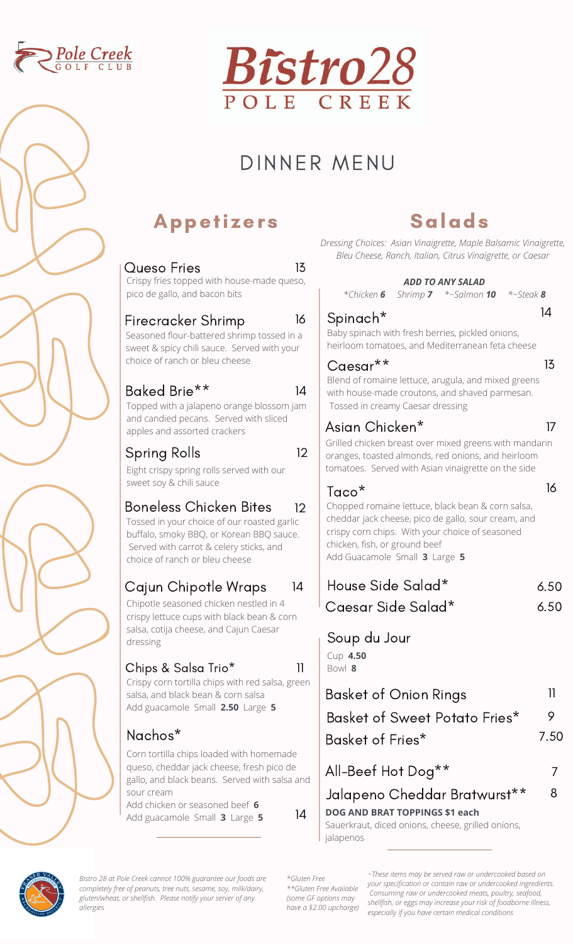



# DINNER MENU

### Appetizers

| 13<br><b>Queso Fries</b><br>Crispy fries topped with house-made queso,                                                                                                                               | Bleu Chei                                                            |
|------------------------------------------------------------------------------------------------------------------------------------------------------------------------------------------------------|----------------------------------------------------------------------|
| pico de gallo, and bacon bits                                                                                                                                                                        | *Chicke                                                              |
| 16<br>Firecracker Shrimp<br>Seasoned flour-battered shrimp tossed in a<br>sweet & spicy chili sauce. Served with your                                                                                | Spinac<br>Baby spina<br>heirloom to                                  |
| choice of ranch or bleu cheese                                                                                                                                                                       | Caesa<br>Blend of rc                                                 |
| Baked Brie**<br>14<br>Topped with a jalapeno orange blossom jam                                                                                                                                      | with house<br>Tossed in                                              |
| and candied pecans. Served with sliced<br>apples and assorted crackers                                                                                                                               | Asian C<br>Grilled chic                                              |
| 12<br>Spring Rolls<br>Eight crispy spring rolls served with our                                                                                                                                      | oranges, to<br>tomatoes.                                             |
| sweet soy & chili sauce                                                                                                                                                                              | Taco*                                                                |
| Boneless Chicken Bites<br>12<br>Tossed in your choice of our roasted garlic<br>buffalo, smoky BBQ, or Korean BBQ sauce.<br>Served with carrot & celery sticks, and<br>choice of ranch or bleu cheese | Chopped re<br>cheddar ja<br>crispy corn<br>chicken, fis<br>Add Guaca |
| Cajun Chipotle Wraps<br>14                                                                                                                                                                           | House                                                                |
| Chipotle seasoned chicken nestled in 4<br>crispy lettuce cups with black bean & corn                                                                                                                 | Caesar                                                               |
| salsa, cotija cheese, and Cajun Caesar<br>dressing                                                                                                                                                   | Soup c                                                               |
| Chips & Salsa Trio*<br>11<br>Crispy corn tortilla chips with red salsa, green                                                                                                                        | Cup 4.50<br>Bowl 8                                                   |
| salsa, and black bean & corn salsa<br>Add guacamole Small 2.50 Large 5                                                                                                                               | Basket                                                               |
|                                                                                                                                                                                                      | <b>Basket</b>                                                        |
| Nachos*<br>Corn tortilla chips loaded with homemade                                                                                                                                                  | Basket                                                               |
| queso, cheddar jack cheese, fresh pico de<br>gallo, and black beans. Served with salsa and                                                                                                           | All-Bee                                                              |

### Salads

*Dressing Choices: Asian Vinaigrette, Maple Balsamic Vinaigrette, Bleu Cheese, Ranch, Italian, Citrus Vinaigrette, or Caesar*

|                                                                                                                                                                                       |                                                                                                                                                                                                                                        |  | <b>ADD TO ANY SALAD</b><br>*Chicken 6 Shrimp 7 *~Salmon 10 | $*$ ~Steak 8 |      |
|---------------------------------------------------------------------------------------------------------------------------------------------------------------------------------------|----------------------------------------------------------------------------------------------------------------------------------------------------------------------------------------------------------------------------------------|--|------------------------------------------------------------|--------------|------|
|                                                                                                                                                                                       | Spinach*<br>Baby spinach with fresh berries, pickled onions,<br>heirloom tomatoes, and Mediterranean feta cheese                                                                                                                       |  |                                                            |              | 14   |
|                                                                                                                                                                                       | $Caesar***$<br>Blend of romaine lettuce, arugula, and mixed greens<br>with house-made croutons, and shaved parmesan.<br>Tossed in creamy Caesar dressing                                                                               |  |                                                            |              | 13   |
| Asian Chicken*<br>Grilled chicken breast over mixed greens with mandarin<br>oranges, toasted almonds, red onions, and heirloom<br>tomatoes. Served with Asian vinaigrette on the side |                                                                                                                                                                                                                                        |  |                                                            | 17           |      |
|                                                                                                                                                                                       | Taco*<br>Chopped romaine lettuce, black bean & corn salsa,<br>cheddar jack cheese, pico de gallo, sour cream, and<br>crispy corn chips. With your choice of seasoned<br>chicken, fish, or ground beef<br>Add Guacamole Small 3 Large 5 |  |                                                            |              | 16   |
|                                                                                                                                                                                       | House Side Salad*                                                                                                                                                                                                                      |  |                                                            |              | 6.50 |
|                                                                                                                                                                                       | Caesar Side Salad*                                                                                                                                                                                                                     |  |                                                            |              | 6.50 |
|                                                                                                                                                                                       | Soup du Jour<br>Cup 4.50<br>Bowl 8                                                                                                                                                                                                     |  |                                                            |              |      |
|                                                                                                                                                                                       | Basket of Onion Rings                                                                                                                                                                                                                  |  |                                                            |              | 11   |
|                                                                                                                                                                                       | Basket of Sweet Potato Fries*                                                                                                                                                                                                          |  |                                                            |              | 9    |
|                                                                                                                                                                                       | Basket of Fries*                                                                                                                                                                                                                       |  |                                                            |              | 7.50 |
|                                                                                                                                                                                       | All-Beef Hot Dog**                                                                                                                                                                                                                     |  |                                                            |              | 7    |
|                                                                                                                                                                                       | Jalapeno Cheddar Bratwurst**                                                                                                                                                                                                           |  |                                                            |              | 8    |

Jalapeno Cheddar Bratwurst\*\* **DOG AND BRAT TOPPINGS \$1 each**

Sauerkraut, diced onions, cheese, grilled onions, jalapenos



*Bistro 28 at Pole Creek cannot 100% guarantee our foods are completely free of peanuts, tree nuts, sesame, soy, milk/dairy, gluten/wheat, or shellfish. Please notify your server of any allergies*

Add chicken or seasoned beef **6**

Add guacamole Small **<sup>3</sup>** Large **<sup>5</sup>** 14

sour cream

*\*Gluten Free \*\*Gluten Free Available (some GF options may have a \$2.00 upcharge)*

*~These items may be served raw or undercooked based on your specification or contain raw or undercooked ingredients. Consuming raw or undercooked meats, poultry, seafood, shellfish, or eggs may increase your risk of foodborne illness, especially if you have certain medical conditions*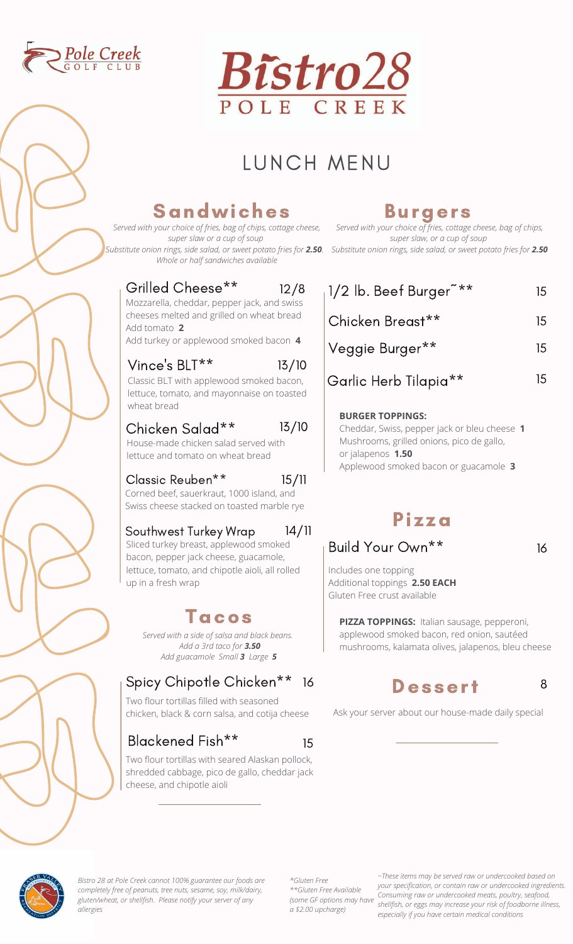



## LUNCH MENU

12/8

### Sandwiches

*Served with your choice of fries, bag of chips, cottage cheese, super slaw or a cup of soup Whole or half sandwiches available*

### Burgers

*Served with your choice of fries, cottage cheese, bag of chips, super slaw, or a cup of soup Substitute onion rings, side salad, or sweet potato fries for 2.50 Substitute onion rings, side salad, or sweet potato fries for 2.50.* 

| $1/2$ lb. Beef Burger $**$ | 15. |
|----------------------------|-----|
| Chicken Breast**           | 15. |
| Veggie Burger**            | 15. |
| Garlic Herb Tilapia**      | 15. |

#### **BURGER TOPPINGS:**

Cheddar, Swiss, pepper jack or bleu cheese **1** Mushrooms, grilled onions, pico de gallo, or jalapenos **1.50** Applewood smoked bacon or guacamole **3**

### Pizza

### Build Your Own\*\*

16

8

Includes one topping Additional toppings **2.50 EACH** Gluten Free crust available

> **PIZZA TOPPINGS:** Italian sausage, pepperoni, applewood smoked bacon, red onion, sautéed mushrooms, kalamata olives, jalapenos, bleu cheese

### Dessert

Ask your server about our house-made daily special

Mozzarella, cheddar, pepper jack, and swiss cheeses melted and grilled on wheat bread Add tomato **2** Add turkey or applewood smoked bacon **4** Vince's BLT\*\* Classic BLT with applewood smoked bacon, lettuce, tomato, and mayonnaise on toasted wheat bread 13/10

Grilled Cheese\*\*

#### Chicken Salad\*\* House-made chicken salad served with 13/10

lettuce and tomato on wheat bread

#### Classic Reuben\*\* 15/11

Corned beef, sauerkraut, 1000 island, and Swiss cheese stacked on toasted marble rye

#### Southwest Turkey Wrap 14/11

Sliced turkey breast, applewood smoked bacon, pepper jack cheese, guacamole, lettuce, tomato, and chipotle aioli, all rolled up in a fresh wrap

### Tacos

*Served with a side of salsa and black beans. Add a 3rd taco for 3.50 Add guacamole Small 3 Large 5*

### Spicy Chipotle Chicken<sup>\*\*</sup> 16

Two flour tortillas filled with seasoned chicken, black & corn salsa, and cotija cheese

#### Blackened Fish\*\* 15

Two flour tortillas with seared Alaskan pollock, shredded cabbage, pico de gallo, cheddar jack cheese, and chipotle aioli



*Bistro 28 at Pole Creek cannot 100% guarantee our foods are completely free of peanuts, tree nuts, sesame, soy, milk/dairy, gluten/wheat, or shellfish. Please notify your server of any allergies*

*\*Gluten Free \*\*Gluten Free Available (some GF options may have a \$2.00 upcharge)*

*~These items may be served raw or undercooked based on your specification, or contain raw or undercooked ingredients. Consuming raw or undercooked meats, poultry, seafood, shellfish, or eggs may increase your risk of foodborne illness, especially if you have certain medical conditions*